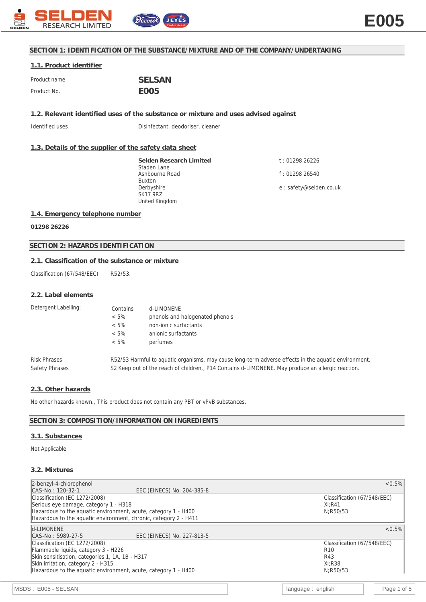

## **SECTION 1: IDENTIFICATION OF THE SUBSTANCE/MIXTURE AND OF THE COMPANY/UNDERTAKING**

# **1.1. Product identifier**

| Product name | <b>SELSAN</b> |
|--------------|---------------|
| Product No.  | FOO5          |

**1.2. Relevant identified uses of the substance or mixture and uses advised against**

Identified uses **Interpretent** Disinfectant, deodoriser, cleaner

## **1.3. Details of the supplier of the safety data sheet**

**Selden Research Limited** Staden Lane Ashbourne Road Buxton Derbyshire SK17 9RZ United Kingdom

t : 01298 26226 f : 01298 26540 e : safety@selden.co.uk

## **1.4. Emergency telephone number**

**01298 26226**

# **SECTION 2: HAZARDS IDENTIFICATION**

## **2.1. Classification of the substance or mixture**

Classification (67/548/EEC) R52/53.

#### **2.2. Label elements**

| Detergent Labelling:                  | Contains<br>$< 5\%$<br>$< 5\%$<br>$< 5\%$<br>$< 5\%$ | d-LIMONENE<br>phenols and halogenated phenols<br>non-jonic surfactants<br>anionic surfactants<br>perfumes                                                                                                 |  |
|---------------------------------------|------------------------------------------------------|-----------------------------------------------------------------------------------------------------------------------------------------------------------------------------------------------------------|--|
| <b>Risk Phrases</b><br>Safety Phrases |                                                      | R52/53 Harmful to aquatic organisms, may cause long-term adverse effects in the aquatic environment.<br>S2 Keep out of the reach of children., P14 Contains d-LIMONENE. May produce an allergic reaction. |  |

#### **2.3. Other hazards**

No other hazards known., This product does not contain any PBT or vPvB substances.

#### **SECTION 3: COMPOSITION/INFORMATION ON INGREDIENTS**

# **3.1. Substances**

Not Applicable

## **3.2. Mixtures**

| 2-benzyl-4-chlorophenol                                          | $< 0.5\%$                   |
|------------------------------------------------------------------|-----------------------------|
| CAS-No.: 120-32-1<br>EEC (EINECS) No. 204-385-8                  |                             |
| Classification (EC 1272/2008)                                    | Classification (67/548/EEC) |
| Serious eye damage, category 1 - H318                            | $Xi:$ R41                   |
| Hazardous to the aquatic environment, acute, category 1 - H400   | N:R50/53                    |
| Hazardous to the aquatic environment, chronic, category 2 - H411 |                             |
| d-LIMONENE                                                       | < 0.5%                      |
| EEC (EINECS) No. 227-813-5<br>CAS-No.: 5989-27-5                 |                             |
| Classification (EC 1272/2008)                                    | Classification (67/548/EEC) |
| Flammable liquids, category 3 - H226                             | R <sub>10</sub>             |
| Skin sensitisation, categories 1, 1A, 1B - H317                  | R43                         |
| Skin irritation, category 2 - H315                               | $Xi:$ R38                   |
| Hazardous to the aguatic environment, acute, category 1 - H400   | N:R50/53                    |
|                                                                  |                             |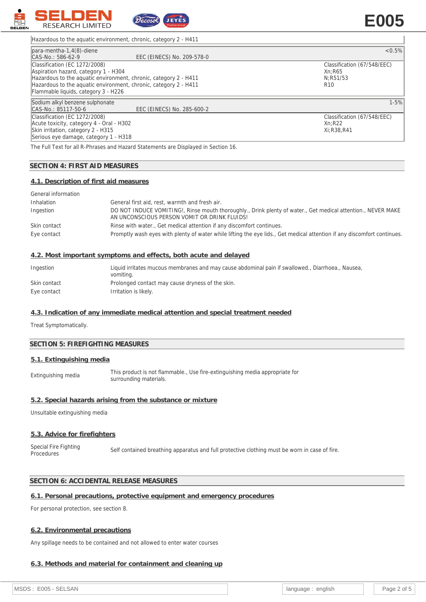

# **E005**

Hazardous to the aquatic environment, chronic, category 2 - H411

| $para$ -mentha-1,4 $(8)$ -diene                                  |                            | $< 0.5\%$                   |
|------------------------------------------------------------------|----------------------------|-----------------------------|
| CAS-No.: 586-62-9                                                | EEC (EINECS) No. 209-578-0 |                             |
| Classification (EC 1272/2008)                                    |                            | Classification (67/548/EEC) |
| Aspiration hazard, category 1 - H304                             |                            | Xn:R65                      |
| Hazardous to the aquatic environment, chronic, category 2 - H411 |                            | N:R51/53                    |
| Hazardous to the aguatic environment, chronic, category 2 - H411 |                            | R <sub>10</sub>             |
| Flammable liquids, category 3 - H226                             |                            |                             |
| Sodium alkyl benzene sulphonate                                  |                            | $1 - 5%$                    |
| CAS-No.: 85117-50-6                                              | EEC (EINECS) No. 285-600-2 |                             |
| Classification (EC 1272/2008)                                    |                            | Classification (67/548/EEC) |
| Acute toxicity, category 4 - Oral - H302                         |                            | Xn:R22                      |
| Skin irritation, category 2 - H315                               |                            | Xi:R38,R41                  |
| Serious eye damage, category 1 - H318                            |                            |                             |

The Full Text for all R-Phrases and Hazard Statements are Displayed in Section 16.

# **SECTION 4: FIRST AID MEASURES**

### **4.1. Description of first aid measures**

| General information |                                                                                                                                                              |
|---------------------|--------------------------------------------------------------------------------------------------------------------------------------------------------------|
| Inhalation          | General first aid, rest, warmth and fresh air.                                                                                                               |
| Ingestion           | DO NOT INDUCE VOMITING!, Rinse mouth thoroughly., Drink plenty of water., Get medical attention., NEVER MAKE<br>AN UNCONSCIOUS PERSON VOMIT OR DRINK FLUIDS! |
| Skin contact        | Rinse with water., Get medical attention if any discomfort continues.                                                                                        |
| Eye contact         | Promptly wash eyes with plenty of water while lifting the eye lids., Get medical attention if any discomfort continues.                                      |

#### **4.2. Most important symptoms and effects, both acute and delayed**

| Ingestion    | Liquid irritates mucous membranes and may cause abdominal pain if swallowed., Diarrhoea., Nausea,<br>vomiting. |
|--------------|----------------------------------------------------------------------------------------------------------------|
| Skin contact | Prolonged contact may cause dryness of the skin.                                                               |
| Eye contact  | Irritation is likely.                                                                                          |

## **4.3. Indication of any immediate medical attention and special treatment needed**

Treat Symptomatically.

#### **SECTION 5: FIREFIGHTING MEASURES**

#### **5.1. Extinguishing media**

Extinguishing media This product is not flammable., Use fire-extinguishing media appropriate for surrounding materials.

#### **5.2. Special hazards arising from the substance or mixture**

Unsuitable extinguishing media

#### **5.3. Advice for firefighters**

Special Fire Fighting<br>Procedures Self contained breathing apparatus and full protective clothing must be worn in case of fire.

# **SECTION 6: ACCIDENTAL RELEASE MEASURES**

#### **6.1. Personal precautions, protective equipment and emergency procedures**

For personal protection, see section 8.

#### **6.2. Environmental precautions**

Any spillage needs to be contained and not allowed to enter water courses

#### **6.3. Methods and material for containment and cleaning up**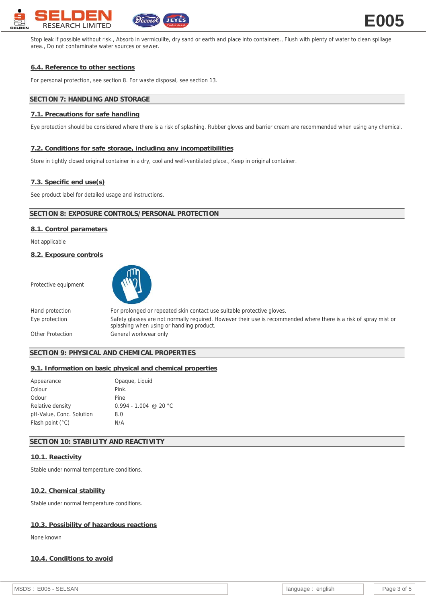

Stop leak if possible without risk., Absorb in vermiculite, dry sand or earth and place into containers., Flush with plenty of water to clean spillage area., Do not contaminate water sources or sewer.

# **6.4. Reference to other sections**

For personal protection, see section 8. For waste disposal, see section 13.

# **SECTION 7: HANDLING AND STORAGE**

# **7.1. Precautions for safe handling**

Eye protection should be considered where there is a risk of splashing. Rubber gloves and barrier cream are recommended when using any chemical.

#### **7.2. Conditions for safe storage, including any incompatibilities**

Store in tightly closed original container in a dry, cool and well-ventilated place., Keep in original container.

#### **7.3. Specific end use(s)**

See product label for detailed usage and instructions.

# **SECTION 8: EXPOSURE CONTROLS/PERSONAL PROTECTION**

## **8.1. Control parameters**

Not applicable

**8.2. Exposure controls**

Protective equipment



Hand protection For prolonged or repeated skin contact use suitable protective gloves. Eye protection Safety glasses are not normally required. However their use is recommended where there is a risk of spray mist or splashing when using or handling product. Other Protection General workwear only

# **SECTION 9: PHYSICAL AND CHEMICAL PROPERTIES**

## **9.1. Information on basic physical and chemical properties**

| Appearance                | Opaque, Liquid          |
|---------------------------|-------------------------|
| Colour                    | Pink.                   |
| Odour                     | Pine                    |
| Relative density          | $0.994 - 1.004$ @ 20 °C |
| pH-Value, Conc. Solution  | 8.0                     |
| Flash point $(^{\circ}C)$ | N/A                     |

# **SECTION 10: STABILITY AND REACTIVITY**

## **10.1. Reactivity**

Stable under normal temperature conditions.

#### **10.2. Chemical stability**

Stable under normal temperature conditions.

## **10.3. Possibility of hazardous reactions**

None known

# **10.4. Conditions to avoid**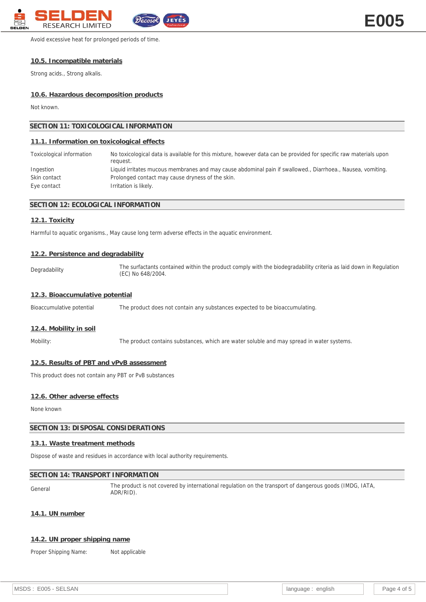

Avoid excessive heat for prolonged periods of time.

## **10.5. Incompatible materials**

Strong acids., Strong alkalis.

## **10.6. Hazardous decomposition products**

Not known.

| SECTION 11: TOXICOLOGICAL INFORMATION      |                                                                                                                               |  |
|--------------------------------------------|-------------------------------------------------------------------------------------------------------------------------------|--|
| 11.1. Information on toxicological effects |                                                                                                                               |  |
| Toxicological information                  | No toxicological data is available for this mixture, however data can be provided for specific raw materials upon<br>request. |  |
| Ingestion                                  | Liquid irritates mucous membranes and may cause abdominal pain if swallowed., Diarrhoea., Nausea, vomiting.                   |  |
| Skin contact                               | Prolonged contact may cause dryness of the skin.                                                                              |  |
| Eye contact                                | Irritation is likely.                                                                                                         |  |

## **SECTION 12: ECOLOGICAL INFORMATION**

#### **12.1. Toxicity**

Harmful to aquatic organisms., May cause long term adverse effects in the aquatic environment.

#### **12.2. Persistence and degradability**

Degradability The surfactants contained within the product comply with the biodegradability criteria as laid down in Regulation (EC) No 648/2004.

# **12.3. Bioaccumulative potential**

Bioaccumulative potential The product does not contain any substances expected to be bioaccumulating.

#### **12.4. Mobility in soil**

Mobility: The product contains substances, which are water soluble and may spread in water systems.

## **12.5. Results of PBT and vPvB assessment**

This product does not contain any PBT or PvB substances

## **12.6. Other adverse effects**

None known

# **SECTION 13: DISPOSAL CONSIDERATIONS**

## **13.1. Waste treatment methods**

Dispose of waste and residues in accordance with local authority requirements.

## **SECTION 14: TRANSPORT INFORMATION**

General The product is not covered by international regulation on the transport of dangerous goods (IMDG, IATA, ADR/RID).

**14.1. UN number**

## **14.2. UN proper shipping name**

Proper Shipping Name: Not applicable